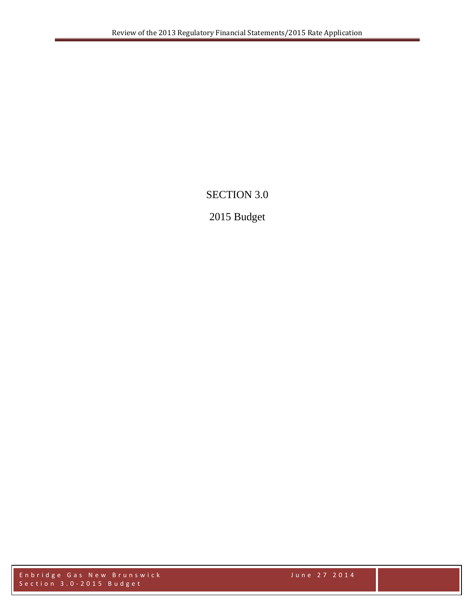# SECTION 3.0

# 2015 Budget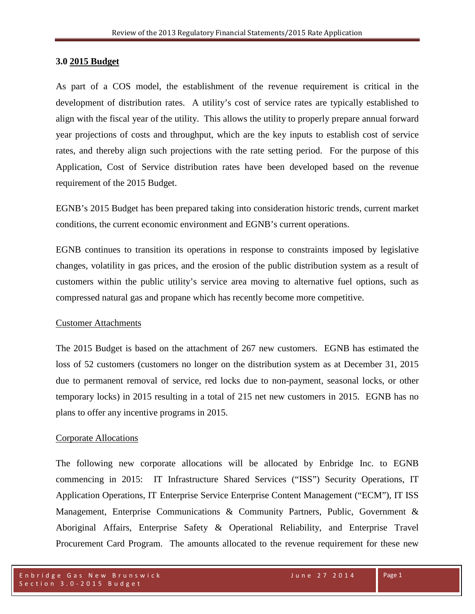#### **3.0 2015 Budget**

As part of a COS model, the establishment of the revenue requirement is critical in the development of distribution rates. A utility's cost of service rates are typically established to align with the fiscal year of the utility. This allows the utility to properly prepare annual forward year projections of costs and throughput, which are the key inputs to establish cost of service rates, and thereby align such projections with the rate setting period. For the purpose of this Application, Cost of Service distribution rates have been developed based on the revenue requirement of the 2015 Budget.

EGNB's 2015 Budget has been prepared taking into consideration historic trends, current market conditions, the current economic environment and EGNB's current operations.

EGNB continues to transition its operations in response to constraints imposed by legislative changes, volatility in gas prices, and the erosion of the public distribution system as a result of customers within the public utility's service area moving to alternative fuel options, such as compressed natural gas and propane which has recently become more competitive.

#### Customer Attachments

The 2015 Budget is based on the attachment of 267 new customers. EGNB has estimated the loss of 52 customers (customers no longer on the distribution system as at December 31, 2015 due to permanent removal of service, red locks due to non-payment, seasonal locks, or other temporary locks) in 2015 resulting in a total of 215 net new customers in 2015. EGNB has no plans to offer any incentive programs in 2015.

### Corporate Allocations

The following new corporate allocations will be allocated by Enbridge Inc. to EGNB commencing in 2015: IT Infrastructure Shared Services ("ISS") Security Operations, IT Application Operations, IT Enterprise Service Enterprise Content Management ("ECM"), IT ISS Management, Enterprise Communications & Community Partners, Public, Government & Aboriginal Affairs, Enterprise Safety & Operational Reliability, and Enterprise Travel Procurement Card Program. The amounts allocated to the revenue requirement for these new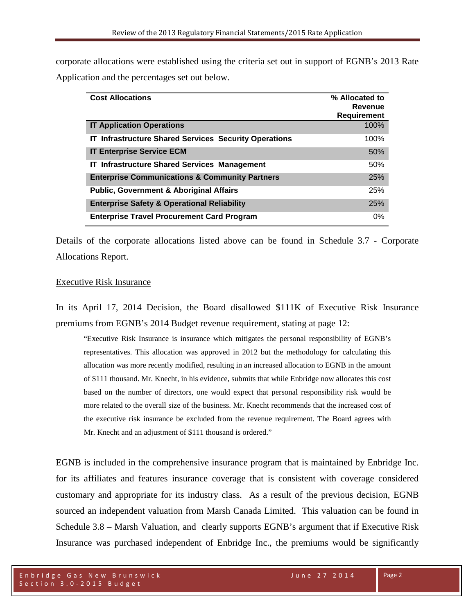corporate allocations were established using the criteria set out in support of EGNB's 2013 Rate Application and the percentages set out below.

| <b>Cost Allocations</b>                                      | % Allocated to<br>Revenue |
|--------------------------------------------------------------|---------------------------|
|                                                              | <b>Requirement</b>        |
| <b>IT Application Operations</b>                             | 100%                      |
| <b>IT Infrastructure Shared Services Security Operations</b> | 100%                      |
| <b>IT Enterprise Service ECM</b>                             | 50%                       |
| IT Infrastructure Shared Services Management                 | 50%                       |
| <b>Enterprise Communications &amp; Community Partners</b>    | 25%                       |
| <b>Public, Government &amp; Aboriginal Affairs</b>           | 25%                       |
| <b>Enterprise Safety &amp; Operational Reliability</b>       | 25%                       |
| <b>Enterprise Travel Procurement Card Program</b>            | $0\%$                     |

Details of the corporate allocations listed above can be found in Schedule 3.7 - Corporate Allocations Report.

#### Executive Risk Insurance

In its April 17, 2014 Decision, the Board disallowed \$111K of Executive Risk Insurance premiums from EGNB's 2014 Budget revenue requirement, stating at page 12:

"Executive Risk Insurance is insurance which mitigates the personal responsibility of EGNB's representatives. This allocation was approved in 2012 but the methodology for calculating this allocation was more recently modified, resulting in an increased allocation to EGNB in the amount of \$111 thousand. Mr. Knecht, in his evidence, submits that while Enbridge now allocates this cost based on the number of directors, one would expect that personal responsibility risk would be more related to the overall size of the business. Mr. Knecht recommends that the increased cost of the executive risk insurance be excluded from the revenue requirement. The Board agrees with Mr. Knecht and an adjustment of \$111 thousand is ordered."

EGNB is included in the comprehensive insurance program that is maintained by Enbridge Inc. for its affiliates and features insurance coverage that is consistent with coverage considered customary and appropriate for its industry class. As a result of the previous decision, EGNB sourced an independent valuation from Marsh Canada Limited. This valuation can be found in Schedule 3.8 – Marsh Valuation, and clearly supports EGNB's argument that if Executive Risk Insurance was purchased independent of Enbridge Inc., the premiums would be significantly